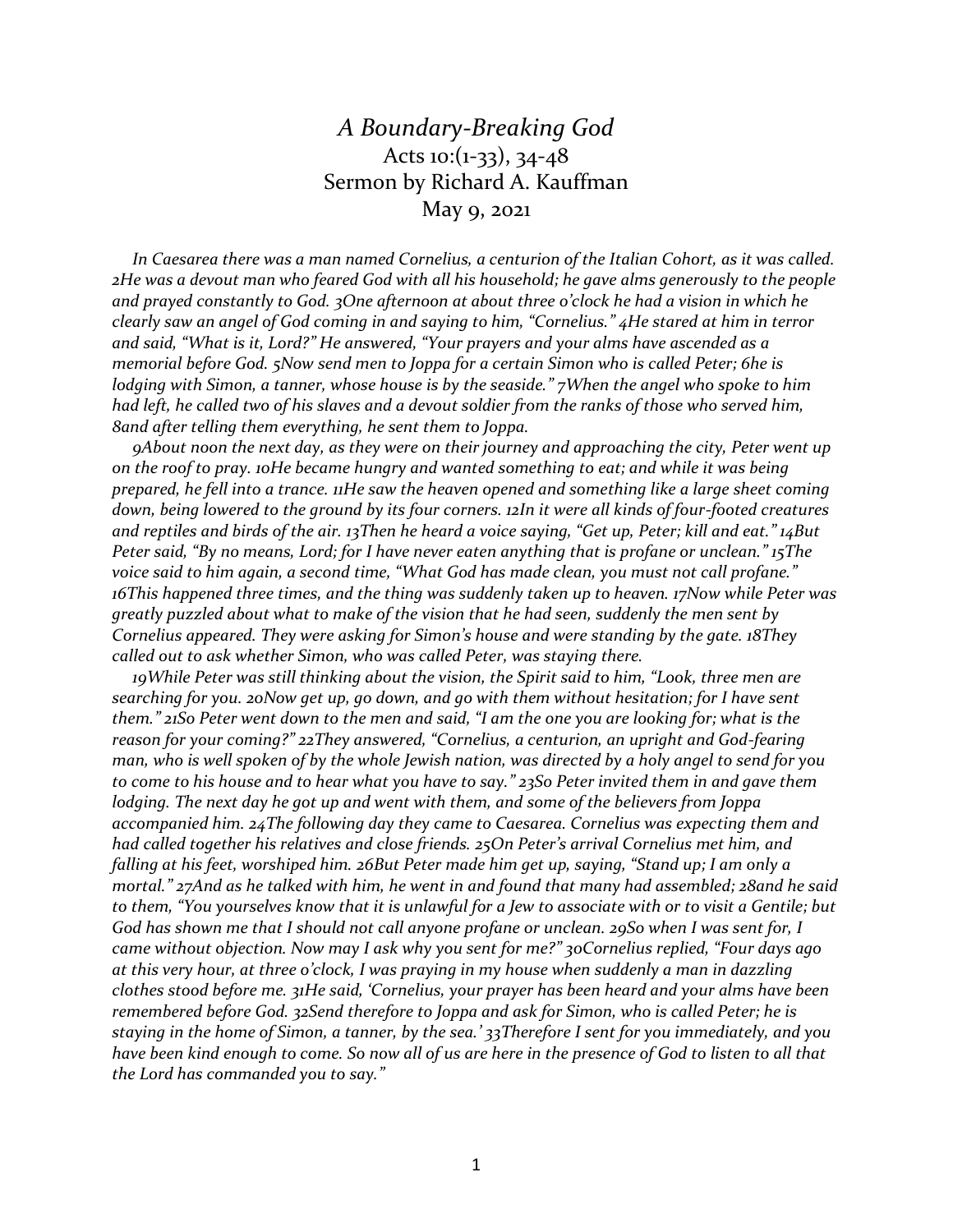## *A Boundary-Breaking God* Acts 10: $(1-33)$ , 34-48 Sermon by Richard A. Kauffman May 9, 2021

 *In Caesarea there was a man named Cornelius, a centurion of the Italian Cohort, as it was called. 2He was a devout man who feared God with all his household; he gave alms generously to the people and prayed constantly to God. 3One afternoon at about three o'clock he had a vision in which he clearly saw an angel of God coming in and saying to him, "Cornelius." 4He stared at him in terror and said, "What is it, Lord?" He answered, "Your prayers and your alms have ascended as a memorial before God. 5Now send men to Joppa for a certain Simon who is called Peter; 6he is lodging with Simon, a tanner, whose house is by the seaside." 7When the angel who spoke to him had left, he called two of his slaves and a devout soldier from the ranks of those who served him, 8and after telling them everything, he sent them to Joppa.*

 *9About noon the next day, as they were on their journey and approaching the city, Peter went up on the roof to pray. 10He became hungry and wanted something to eat; and while it was being prepared, he fell into a trance. 11He saw the heaven opened and something like a large sheet coming down, being lowered to the ground by its four corners. 12In it were all kinds of four-footed creatures and reptiles and birds of the air. 13Then he heard a voice saying, "Get up, Peter; kill and eat." 14But Peter said, "By no means, Lord; for I have never eaten anything that is profane or unclean." 15The voice said to him again, a second time, "What God has made clean, you must not call profane." 16This happened three times, and the thing was suddenly taken up to heaven. 17Now while Peter was greatly puzzled about what to make of the vision that he had seen, suddenly the men sent by Cornelius appeared. They were asking for Simon's house and were standing by the gate. 18They called out to ask whether Simon, who was called Peter, was staying there.*

 *19While Peter was still thinking about the vision, the Spirit said to him, "Look, three men are searching for you. 20Now get up, go down, and go with them without hesitation; for I have sent them." 21So Peter went down to the men and said, "I am the one you are looking for; what is the reason for your coming?" 22They answered, "Cornelius, a centurion, an upright and God-fearing man, who is well spoken of by the whole Jewish nation, was directed by a holy angel to send for you to come to his house and to hear what you have to say." 23So Peter invited them in and gave them lodging. The next day he got up and went with them, and some of the believers from Joppa accompanied him. 24The following day they came to Caesarea. Cornelius was expecting them and had called together his relatives and close friends. 25On Peter's arrival Cornelius met him, and falling at his feet, worshiped him. 26But Peter made him get up, saying, "Stand up; I am only a mortal." 27And as he talked with him, he went in and found that many had assembled; 28and he said to them, "You yourselves know that it is unlawful for a Jew to associate with or to visit a Gentile; but God has shown me that I should not call anyone profane or unclean. 29So when I was sent for, I came without objection. Now may I ask why you sent for me?" 30Cornelius replied, "Four days ago at this very hour, at three o'clock, I was praying in my house when suddenly a man in dazzling clothes stood before me. 31He said, 'Cornelius, your prayer has been heard and your alms have been remembered before God. 32Send therefore to Joppa and ask for Simon, who is called Peter; he is staying in the home of Simon, a tanner, by the sea.' 33Therefore I sent for you immediately, and you have been kind enough to come. So now all of us are here in the presence of God to listen to all that the Lord has commanded you to say."*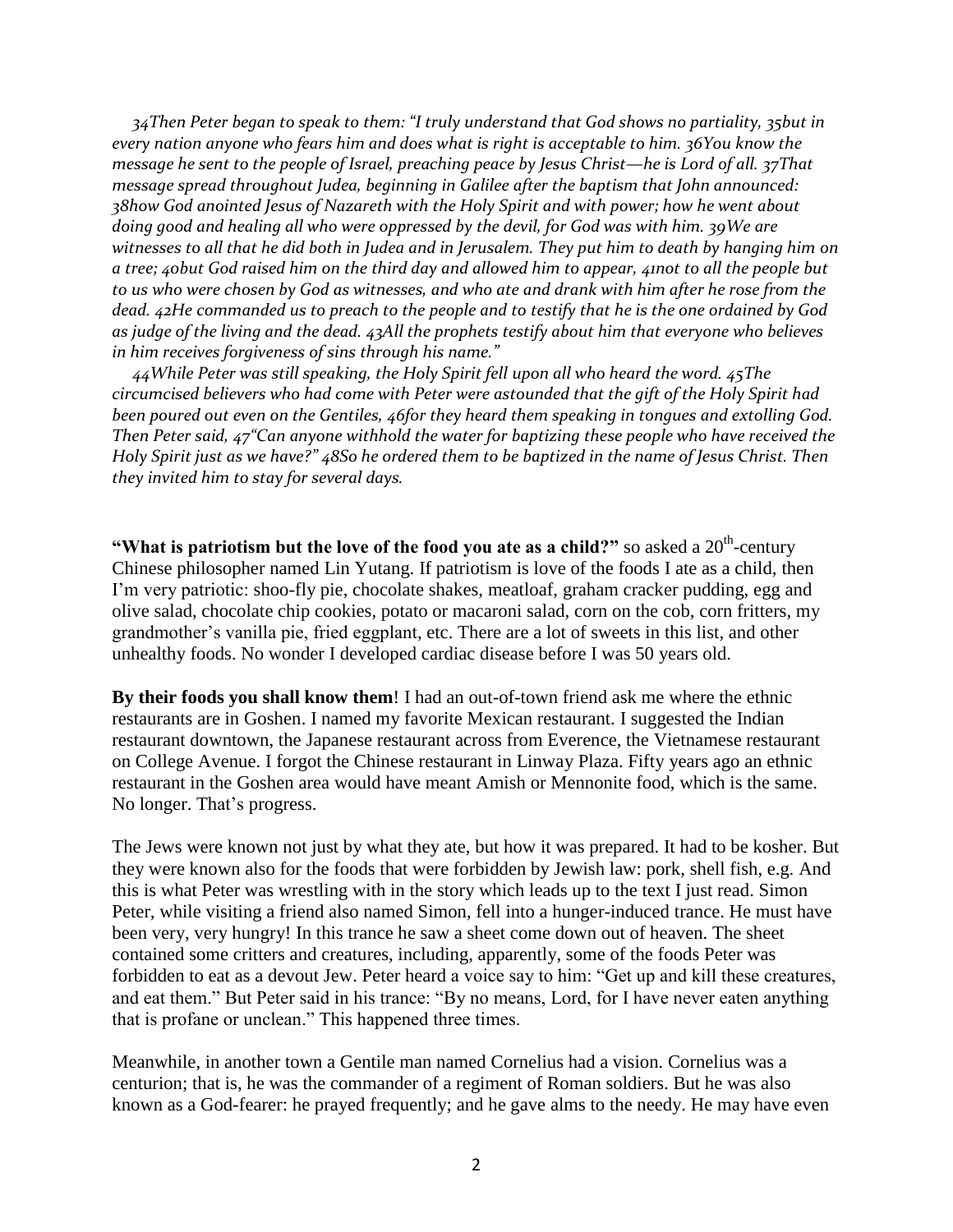*34Then Peter began to speak to them: "I truly understand that God shows no partiality, 35but in every nation anyone who fears him and does what is right is acceptable to him. 36You know the message he sent to the people of Israel, preaching peace by Jesus Christ—he is Lord of all. 37That message spread throughout Judea, beginning in Galilee after the baptism that John announced: 38how God anointed Jesus of Nazareth with the Holy Spirit and with power; how he went about doing good and healing all who were oppressed by the devil, for God was with him. 39We are witnesses to all that he did both in Judea and in Jerusalem. They put him to death by hanging him on a tree; 40but God raised him on the third day and allowed him to appear, 41not to all the people but to us who were chosen by God as witnesses, and who ate and drank with him after he rose from the dead. 42He commanded us to preach to the people and to testify that he is the one ordained by God as judge of the living and the dead. 43All the prophets testify about him that everyone who believes in him receives forgiveness of sins through his name."*

 *44While Peter was still speaking, the Holy Spirit fell upon all who heard the word. 45The circumcised believers who had come with Peter were astounded that the gift of the Holy Spirit had been poured out even on the Gentiles, 46for they heard them speaking in tongues and extolling God. Then Peter said, 47"Can anyone withhold the water for baptizing these people who have received the Holy Spirit just as we have?" 48So he ordered them to be baptized in the name of Jesus Christ. Then they invited him to stay for several days.*

"What is patriotism but the love of the food you ate as a child?" so asked a  $20^{\text{th}}$ -century Chinese philosopher named Lin Yutang. If patriotism is love of the foods I ate as a child, then I'm very patriotic: shoo-fly pie, chocolate shakes, meatloaf, graham cracker pudding, egg and olive salad, chocolate chip cookies, potato or macaroni salad, corn on the cob, corn fritters, my grandmother's vanilla pie, fried eggplant, etc. There are a lot of sweets in this list, and other unhealthy foods. No wonder I developed cardiac disease before I was 50 years old.

**By their foods you shall know them**! I had an out-of-town friend ask me where the ethnic restaurants are in Goshen. I named my favorite Mexican restaurant. I suggested the Indian restaurant downtown, the Japanese restaurant across from Everence, the Vietnamese restaurant on College Avenue. I forgot the Chinese restaurant in Linway Plaza. Fifty years ago an ethnic restaurant in the Goshen area would have meant Amish or Mennonite food, which is the same. No longer. That's progress.

The Jews were known not just by what they ate, but how it was prepared. It had to be kosher. But they were known also for the foods that were forbidden by Jewish law: pork, shell fish, e.g. And this is what Peter was wrestling with in the story which leads up to the text I just read. Simon Peter, while visiting a friend also named Simon, fell into a hunger-induced trance. He must have been very, very hungry! In this trance he saw a sheet come down out of heaven. The sheet contained some critters and creatures, including, apparently, some of the foods Peter was forbidden to eat as a devout Jew. Peter heard a voice say to him: "Get up and kill these creatures, and eat them." But Peter said in his trance: "By no means, Lord, for I have never eaten anything that is profane or unclean." This happened three times.

Meanwhile, in another town a Gentile man named Cornelius had a vision. Cornelius was a centurion; that is, he was the commander of a regiment of Roman soldiers. But he was also known as a God-fearer: he prayed frequently; and he gave alms to the needy. He may have even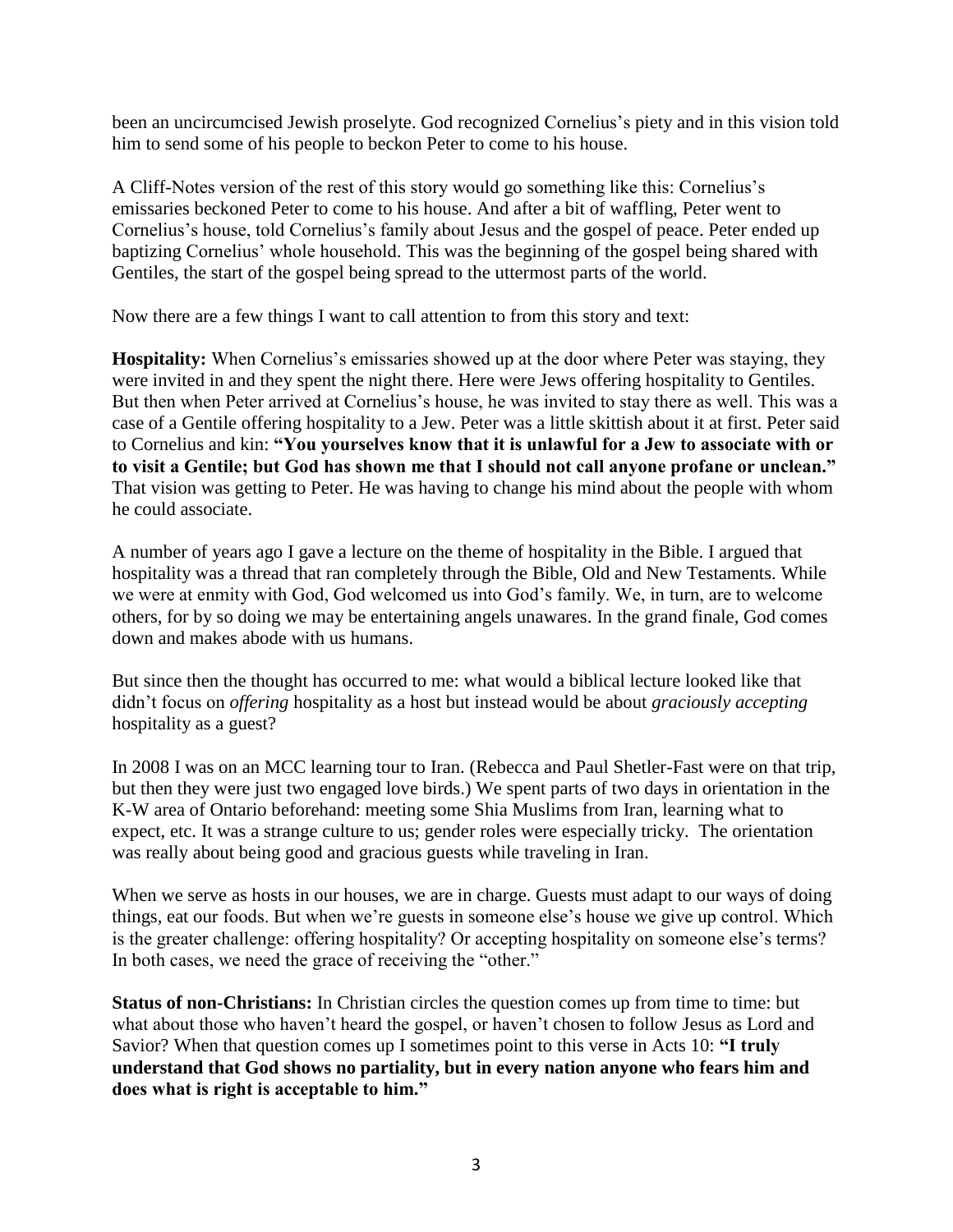been an uncircumcised Jewish proselyte. God recognized Cornelius's piety and in this vision told him to send some of his people to beckon Peter to come to his house.

A Cliff-Notes version of the rest of this story would go something like this: Cornelius's emissaries beckoned Peter to come to his house. And after a bit of waffling, Peter went to Cornelius's house, told Cornelius's family about Jesus and the gospel of peace. Peter ended up baptizing Cornelius' whole household. This was the beginning of the gospel being shared with Gentiles, the start of the gospel being spread to the uttermost parts of the world.

Now there are a few things I want to call attention to from this story and text:

**Hospitality:** When Cornelius's emissaries showed up at the door where Peter was staying, they were invited in and they spent the night there. Here were Jews offering hospitality to Gentiles. But then when Peter arrived at Cornelius's house, he was invited to stay there as well. This was a case of a Gentile offering hospitality to a Jew. Peter was a little skittish about it at first. Peter said to Cornelius and kin: **"You yourselves know that it is unlawful for a Jew to associate with or to visit a Gentile; but God has shown me that I should not call anyone profane or unclean."** That vision was getting to Peter. He was having to change his mind about the people with whom he could associate.

A number of years ago I gave a lecture on the theme of hospitality in the Bible. I argued that hospitality was a thread that ran completely through the Bible, Old and New Testaments. While we were at enmity with God, God welcomed us into God's family. We, in turn, are to welcome others, for by so doing we may be entertaining angels unawares. In the grand finale, God comes down and makes abode with us humans.

But since then the thought has occurred to me: what would a biblical lecture looked like that didn't focus on *offering* hospitality as a host but instead would be about *graciously accepting* hospitality as a guest?

In 2008 I was on an MCC learning tour to Iran. (Rebecca and Paul Shetler-Fast were on that trip, but then they were just two engaged love birds.) We spent parts of two days in orientation in the K-W area of Ontario beforehand: meeting some Shia Muslims from Iran, learning what to expect, etc. It was a strange culture to us; gender roles were especially tricky. The orientation was really about being good and gracious guests while traveling in Iran.

When we serve as hosts in our houses, we are in charge. Guests must adapt to our ways of doing things, eat our foods. But when we're guests in someone else's house we give up control. Which is the greater challenge: offering hospitality? Or accepting hospitality on someone else's terms? In both cases, we need the grace of receiving the "other."

**Status of non-Christians:** In Christian circles the question comes up from time to time: but what about those who haven't heard the gospel, or haven't chosen to follow Jesus as Lord and Savior? When that question comes up I sometimes point to this verse in Acts 10: **"I truly understand that God shows no partiality, but in every nation anyone who fears him and does what is right is acceptable to him."**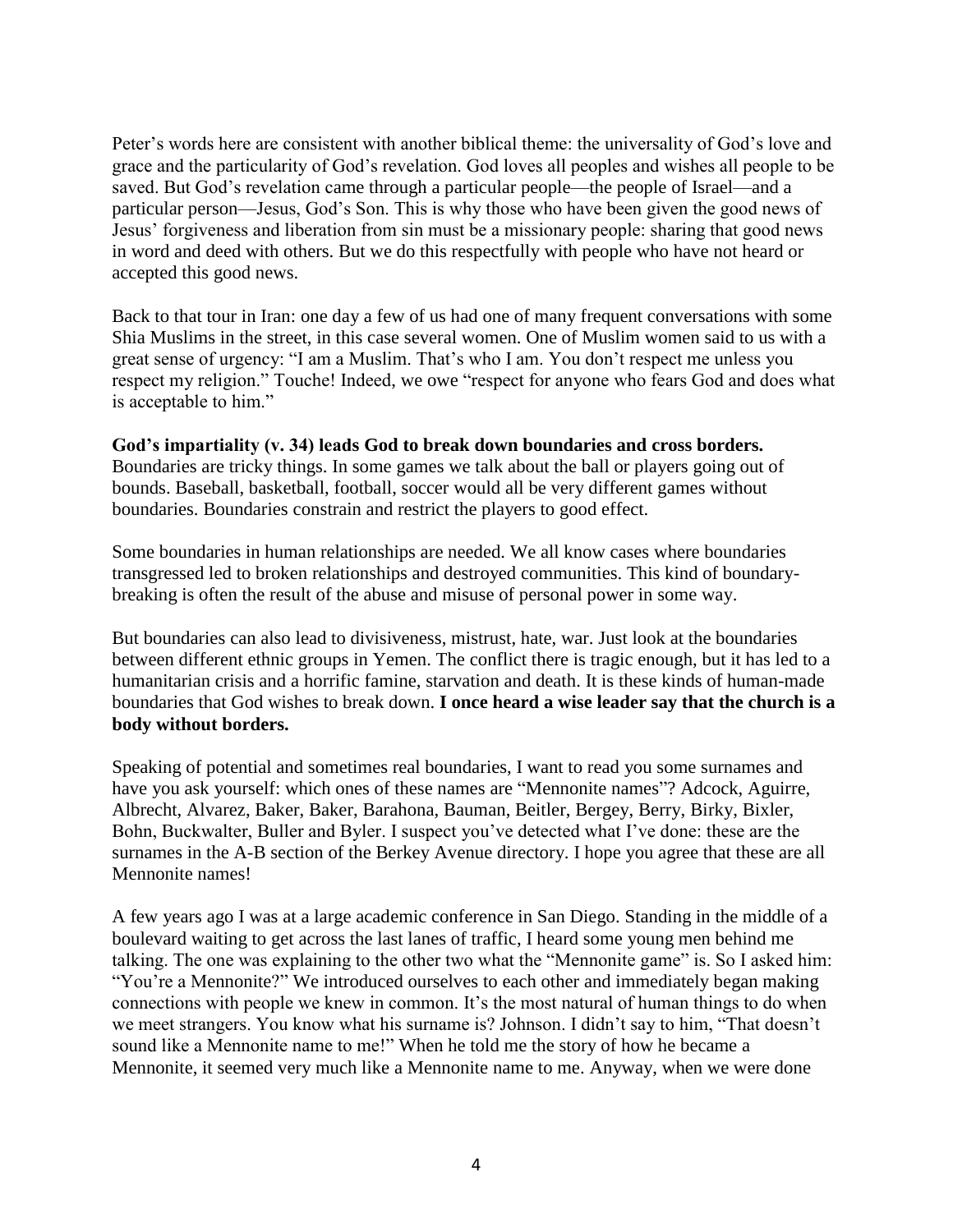Peter's words here are consistent with another biblical theme: the universality of God's love and grace and the particularity of God's revelation. God loves all peoples and wishes all people to be saved. But God's revelation came through a particular people—the people of Israel—and a particular person—Jesus, God's Son. This is why those who have been given the good news of Jesus' forgiveness and liberation from sin must be a missionary people: sharing that good news in word and deed with others. But we do this respectfully with people who have not heard or accepted this good news.

Back to that tour in Iran: one day a few of us had one of many frequent conversations with some Shia Muslims in the street, in this case several women. One of Muslim women said to us with a great sense of urgency: "I am a Muslim. That's who I am. You don't respect me unless you respect my religion." Touche! Indeed, we owe "respect for anyone who fears God and does what is acceptable to him."

**God's impartiality (v. 34) leads God to break down boundaries and cross borders.**  Boundaries are tricky things. In some games we talk about the ball or players going out of bounds. Baseball, basketball, football, soccer would all be very different games without boundaries. Boundaries constrain and restrict the players to good effect.

Some boundaries in human relationships are needed. We all know cases where boundaries transgressed led to broken relationships and destroyed communities. This kind of boundarybreaking is often the result of the abuse and misuse of personal power in some way.

But boundaries can also lead to divisiveness, mistrust, hate, war. Just look at the boundaries between different ethnic groups in Yemen. The conflict there is tragic enough, but it has led to a humanitarian crisis and a horrific famine, starvation and death. It is these kinds of human-made boundaries that God wishes to break down. **I once heard a wise leader say that the church is a body without borders.**

Speaking of potential and sometimes real boundaries, I want to read you some surnames and have you ask yourself: which ones of these names are "Mennonite names"? Adcock, Aguirre, Albrecht, Alvarez, Baker, Baker, Barahona, Bauman, Beitler, Bergey, Berry, Birky, Bixler, Bohn, Buckwalter, Buller and Byler. I suspect you've detected what I've done: these are the surnames in the A-B section of the Berkey Avenue directory. I hope you agree that these are all Mennonite names!

A few years ago I was at a large academic conference in San Diego. Standing in the middle of a boulevard waiting to get across the last lanes of traffic, I heard some young men behind me talking. The one was explaining to the other two what the "Mennonite game" is. So I asked him: "You're a Mennonite?" We introduced ourselves to each other and immediately began making connections with people we knew in common. It's the most natural of human things to do when we meet strangers. You know what his surname is? Johnson. I didn't say to him, "That doesn't sound like a Mennonite name to me!" When he told me the story of how he became a Mennonite, it seemed very much like a Mennonite name to me. Anyway, when we were done